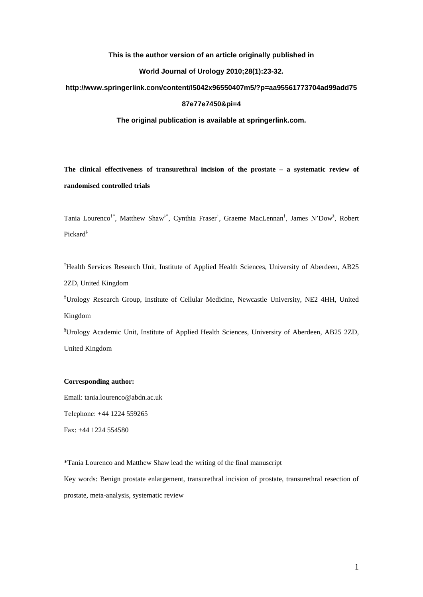# **This is the author version of an article originally published in**

## **World Journal of Urology 2010;28(1):23-32.**

# **http://www.springerlink.com/content/l5042x96550407m5/?p=aa95561773704ad99add75**

### **87e77e7450&pi=4**

# **The original publication is available at springerlink.com.**

**The clinical effectiveness of transurethral incision of the prostate – a systematic review of randomised controlled trials**

Tania Lourenco<sup>†\*</sup>, Matthew Shaw<sup>‡\*</sup>, Cynthia Fraser<sup>†</sup>, Graeme MacLennan<sup>†</sup>, James N'Dow<sup>§</sup>, Robert Pickard‡

† Health Services Research Unit, Institute of Applied Health Sciences, University of Aberdeen, AB25 2ZD, United Kingdom

**‡** Urology Research Group, Institute of Cellular Medicine, Newcastle University, NE2 4HH, United Kingdom

§ Urology Academic Unit, Institute of Applied Health Sciences, University of Aberdeen, AB25 2ZD, United Kingdom

# **Corresponding author:**

Email: [tania.lourenco@abdn.ac.uk](mailto:tania.lourenco@abdn.ac.uk) Telephone: +44 1224 559265

Fax: +44 1224 554580

\*Tania Lourenco and Matthew Shaw lead the writing of the final manuscript

Key words: Benign prostate enlargement, transurethral incision of prostate, transurethral resection of prostate, meta-analysis, systematic review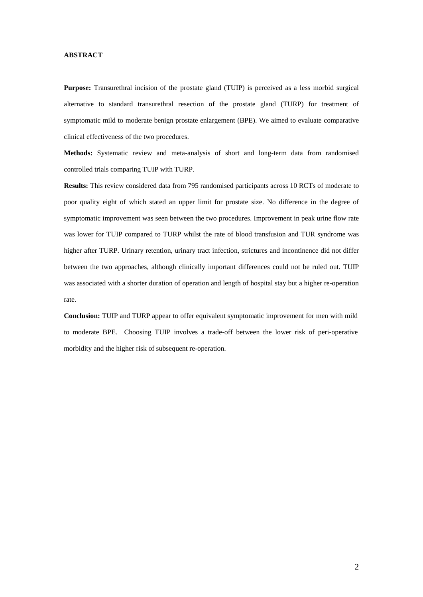# **ABSTRACT**

**Purpose:** Transurethral incision of the prostate gland (TUIP) is perceived as a less morbid surgical alternative to standard transurethral resection of the prostate gland (TURP) for treatment of symptomatic mild to moderate benign prostate enlargement (BPE). We aimed to evaluate comparative clinical effectiveness of the two procedures.

**Methods:** Systematic review and meta-analysis of short and long-term data from randomised controlled trials comparing TUIP with TURP.

**Results:** This review considered data from 795 randomised participants across 10 RCTs of moderate to poor quality eight of which stated an upper limit for prostate size. No difference in the degree of symptomatic improvement was seen between the two procedures. Improvement in peak urine flow rate was lower for TUIP compared to TURP whilst the rate of blood transfusion and TUR syndrome was higher after TURP. Urinary retention, urinary tract infection, strictures and incontinence did not differ between the two approaches, although clinically important differences could not be ruled out. TUIP was associated with a shorter duration of operation and length of hospital stay but a higher re-operation rate.

**Conclusion:** TUIP and TURP appear to offer equivalent symptomatic improvement for men with mild to moderate BPE. Choosing TUIP involves a trade-off between the lower risk of peri-operative morbidity and the higher risk of subsequent re-operation.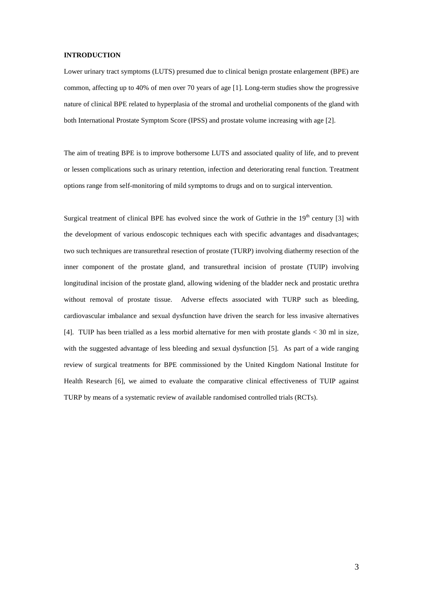## **INTRODUCTION**

Lower urinary tract symptoms (LUTS) presumed due to clinical benign prostate enlargement (BPE) are common, affecting up to 40% of men over 70 years of age [1]. Long-term studies show the progressive nature of clinical BPE related to hyperplasia of the stromal and urothelial components of the gland with both International Prostate Symptom Score (IPSS) and prostate volume increasing with age [2].

The aim of treating BPE is to improve bothersome LUTS and associated quality of life, and to prevent or lessen complications such as urinary retention, infection and deteriorating renal function. Treatment options range from self-monitoring of mild symptoms to drugs and on to surgical intervention.

Surgical treatment of clinical BPE has evolved since the work of Guthrie in the  $19<sup>th</sup>$  century [3] with the development of various endoscopic techniques each with specific advantages and disadvantages; two such techniques are transurethral resection of prostate (TURP) involving diathermy resection of the inner component of the prostate gland, and transurethral incision of prostate (TUIP) involving longitudinal incision of the prostate gland, allowing widening of the bladder neck and prostatic urethra without removal of prostate tissue. Adverse effects associated with TURP such as bleeding, cardiovascular imbalance and sexual dysfunction have driven the search for less invasive alternatives [4]. TUIP has been trialled as a less morbid alternative for men with prostate glands < 30 ml in size, with the suggested advantage of less bleeding and sexual dysfunction [5]. As part of a wide ranging review of surgical treatments for BPE commissioned by the United Kingdom National Institute for Health Research [6], we aimed to evaluate the comparative clinical effectiveness of TUIP against TURP by means of a systematic review of available randomised controlled trials (RCTs).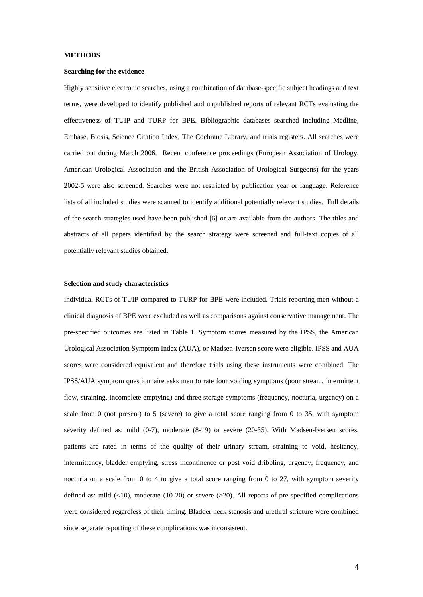## **METHODS**

#### **Searching for the evidence**

Highly sensitive electronic searches, using a combination of database-specific subject headings and text terms, were developed to identify published and unpublished reports of relevant RCTs evaluating the effectiveness of TUIP and TURP for BPE. Bibliographic databases searched including Medline, Embase, Biosis, Science Citation Index, The Cochrane Library, and trials registers. All searches were carried out during March 2006. Recent conference proceedings (European Association of Urology, American Urological Association and the British Association of Urological Surgeons) for the years 2002-5 were also screened. Searches were not restricted by publication year or language. Reference lists of all included studies were scanned to identify additional potentially relevant studies. Full details of the search strategies used have been published [6] or are available from the authors. The titles and abstracts of all papers identified by the search strategy were screened and full-text copies of all potentially relevant studies obtained.

### **Selection and study characteristics**

Individual RCTs of TUIP compared to TURP for BPE were included. Trials reporting men without a clinical diagnosis of BPE were excluded as well as comparisons against conservative management. The pre-specified outcomes are listed in Table 1. Symptom scores measured by the IPSS, the American Urological Association Symptom Index (AUA), or Madsen-Iversen score were eligible. IPSS and AUA scores were considered equivalent and therefore trials using these instruments were combined. The IPSS/AUA symptom questionnaire asks men to rate four voiding symptoms (poor stream, intermittent flow, straining, incomplete emptying) and three storage symptoms (frequency, nocturia, urgency) on a scale from 0 (not present) to 5 (severe) to give a total score ranging from 0 to 35, with symptom severity defined as: mild (0-7), moderate (8-19) or severe (20-35). With Madsen-Iversen scores, patients are rated in terms of the quality of their urinary stream, straining to void, hesitancy, intermittency, bladder emptying, stress incontinence or post void dribbling, urgency, frequency, and nocturia on a scale from 0 to 4 to give a total score ranging from 0 to 27, with symptom severity defined as: mild  $(\leq 10)$ , moderate (10-20) or severe  $(\geq 20)$ . All reports of pre-specified complications were considered regardless of their timing. Bladder neck stenosis and urethral stricture were combined since separate reporting of these complications was inconsistent.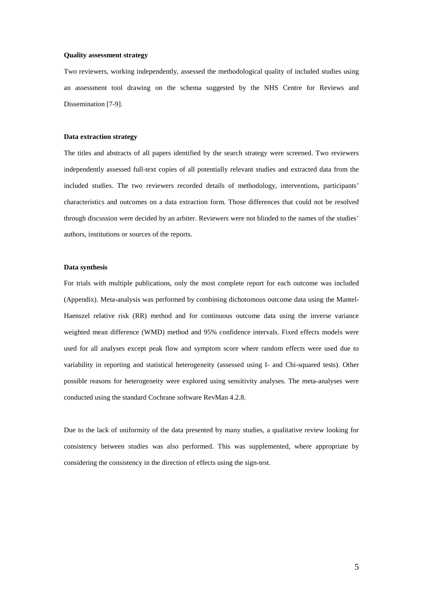#### **Quality assessment strategy**

Two reviewers, working independently, assessed the methodological quality of included studies using an assessment tool drawing on the schema suggested by the NHS Centre for Reviews and Dissemination [7-9].

### **Data extraction strategy**

The titles and abstracts of all papers identified by the search strategy were screened. Two reviewers independently assessed full-text copies of all potentially relevant studies and extracted data from the included studies. The two reviewers recorded details of methodology, interventions, participants' characteristics and outcomes on a data extraction form. Those differences that could not be resolved through discussion were decided by an arbiter. Reviewers were not blinded to the names of the studies' authors, institutions or sources of the reports.

## **Data synthesis**

For trials with multiple publications, only the most complete report for each outcome was included (Appendix). Meta-analysis was performed by combining dichotomous outcome data using the Mantel-Haenszel relative risk (RR) method and for continuous outcome data using the inverse variance weighted mean difference (WMD) method and 95% confidence intervals. Fixed effects models were used for all analyses except peak flow and symptom score where random effects were used due to variability in reporting and statistical heterogeneity (assessed using I- and Chi-squared tests). Other possible reasons for heterogeneity were explored using sensitivity analyses. The meta-analyses were conducted using the standard Cochrane software RevMan 4.2.8.

Due to the lack of uniformity of the data presented by many studies, a qualitative review looking for consistency between studies was also performed. This was supplemented, where appropriate by considering the consistency in the direction of effects using the sign-test.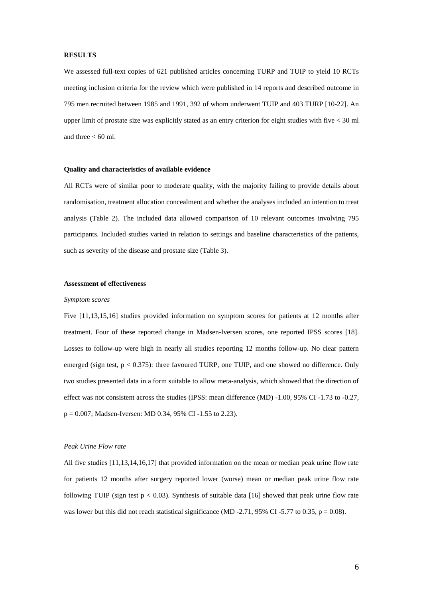#### **RESULTS**

We assessed full-text copies of 621 published articles concerning TURP and TUIP to yield 10 RCTs meeting inclusion criteria for the review which were published in 14 reports and described outcome in 795 men recruited between 1985 and 1991, 392 of whom underwent TUIP and 403 TURP [10-22]. An upper limit of prostate size was explicitly stated as an entry criterion for eight studies with five < 30 ml and three  $< 60$  ml.

# **Quality and characteristics of available evidence**

All RCTs were of similar poor to moderate quality, with the majority failing to provide details about randomisation, treatment allocation concealment and whether the analyses included an intention to treat analysis (Table 2). The included data allowed comparison of 10 relevant outcomes involving 795 participants. Included studies varied in relation to settings and baseline characteristics of the patients, such as severity of the disease and prostate size (Table 3).

### **Assessment of effectiveness**

#### *Symptom scores*

Five [11,13,15,16] studies provided information on symptom scores for patients at 12 months after treatment. Four of these reported change in Madsen-Iversen scores, one reported IPSS scores [18]. Losses to follow-up were high in nearly all studies reporting 12 months follow-up. No clear pattern emerged (sign test,  $p < 0.375$ ): three favoured TURP, one TUIP, and one showed no difference. Only two studies presented data in a form suitable to allow meta-analysis, which showed that the direction of effect was not consistent across the studies (IPSS: mean difference (MD) -1.00, 95% CI -1.73 to -0.27, p = 0.007; Madsen-Iversen: MD 0.34, 95% CI -1.55 to 2.23).

### *Peak Urine Flow rate*

All five studies [11,13,14,16,17] that provided information on the mean or median peak urine flow rate for patients 12 months after surgery reported lower (worse) mean or median peak urine flow rate following TUIP (sign test  $p < 0.03$ ). Synthesis of suitable data [16] showed that peak urine flow rate was lower but this did not reach statistical significance (MD -2.71, 95% CI -5.77 to 0.35, p = 0.08).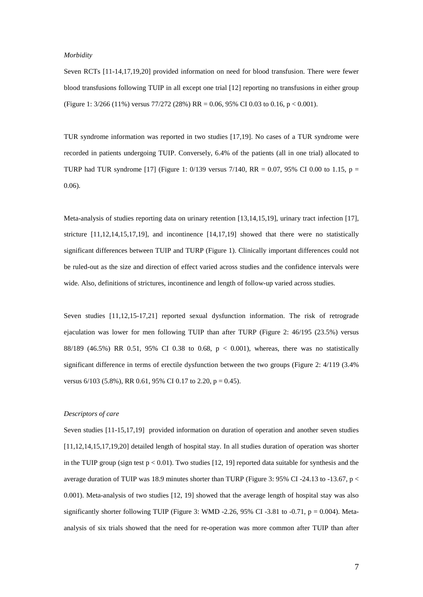### *Morbidity*

Seven RCTs [11-14,17,19,20] provided information on need for blood transfusion. There were fewer blood transfusions following TUIP in all except one trial [12] reporting no transfusions in either group (Figure 1: 3/266 (11%) versus 77/272 (28%) RR = 0.06, 95% CI 0.03 to 0.16, p < 0.001).

TUR syndrome information was reported in two studies [17,19]. No cases of a TUR syndrome were recorded in patients undergoing TUIP. Conversely, 6.4% of the patients (all in one trial) allocated to TURP had TUR syndrome [17] (Figure 1: 0/139 versus 7/140, RR = 0.07, 95% CI 0.00 to 1.15, p = 0.06).

Meta-analysis of studies reporting data on urinary retention [13,14,15,19], urinary tract infection [17], stricture [11,12,14,15,17,19], and incontinence [14,17,19] showed that there were no statistically significant differences between TUIP and TURP (Figure 1). Clinically important differences could not be ruled-out as the size and direction of effect varied across studies and the confidence intervals were wide. Also, definitions of strictures, incontinence and length of follow-up varied across studies.

Seven studies [11,12,15-17,21] reported sexual dysfunction information. The risk of retrograde ejaculation was lower for men following TUIP than after TURP (Figure 2: 46/195 (23.5%) versus 88/189 (46.5%) RR 0.51, 95% CI 0.38 to 0.68,  $p < 0.001$ ), whereas, there was no statistically significant difference in terms of erectile dysfunction between the two groups (Figure 2: 4/119 (3.4% versus  $6/103$  (5.8%), RR 0.61, 95% CI 0.17 to 2.20, p = 0.45).

# *Descriptors of care*

Seven studies [11-15,17,19] provided information on duration of operation and another seven studies [11,12,14,15,17,19,20] detailed length of hospital stay. In all studies duration of operation was shorter in the TUIP group (sign test  $p < 0.01$ ). Two studies [12, 19] reported data suitable for synthesis and the average duration of TUIP was 18.9 minutes shorter than TURP (Figure 3: 95% CI -24.13 to -13.67, p  $\lt$ 0.001). Meta-analysis of two studies [12, 19] showed that the average length of hospital stay was also significantly shorter following TUIP (Figure 3: WMD -2.26, 95% CI -3.81 to -0.71,  $p = 0.004$ ). Metaanalysis of six trials showed that the need for re-operation was more common after TUIP than after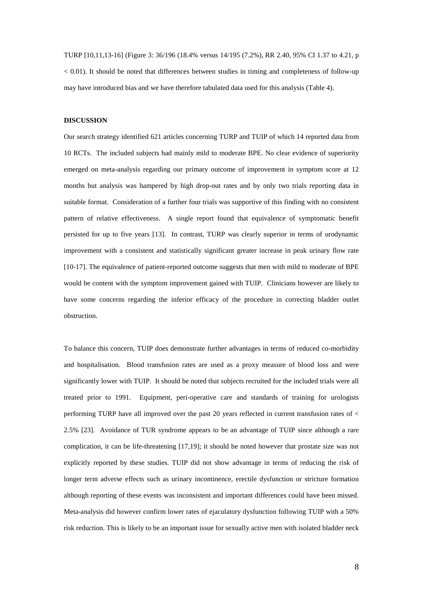TURP [10,11,13-16] (Figure 3: 36/196 (18.4% versus 14/195 (7.2%), RR 2.40, 95% CI 1.37 to 4.21, p  $< 0.01$ ). It should be noted that differences between studies in timing and completeness of follow-up may have introduced bias and we have therefore tabulated data used for this analysis (Table 4).

# **DISCUSSION**

Our search strategy identified 621 articles concerning TURP and TUIP of which 14 reported data from 10 RCTs. The included subjects had mainly mild to moderate BPE. No clear evidence of superiority emerged on meta-analysis regarding our primary outcome of improvement in symptom score at 12 months but analysis was hampered by high drop-out rates and by only two trials reporting data in suitable format. Consideration of a further four trials was supportive of this finding with no consistent pattern of relative effectiveness. A single report found that equivalence of symptomatic benefit persisted for up to five years [13]. In contrast, TURP was clearly superior in terms of urodynamic improvement with a consistent and statistically significant greater increase in peak urinary flow rate [10-17]. The equivalence of patient-reported outcome suggests that men with mild to moderate of BPE would be content with the symptom improvement gained with TUIP. Clinicians however are likely to have some concerns regarding the inferior efficacy of the procedure in correcting bladder outlet obstruction.

To balance this concern, TUIP does demonstrate further advantages in terms of reduced co-morbidity and hospitalisation. Blood transfusion rates are used as a proxy measure of blood loss and were significantly lower with TUIP. It should be noted that subjects recruited for the included trials were all treated prior to 1991. Equipment, peri-operative care and standards of training for urologists performing TURP have all improved over the past 20 years reflected in current transfusion rates of < 2.5% [23]. Avoidance of TUR syndrome appears to be an advantage of TUIP since although a rare complication, it can be life-threatening [17,19]; it should be noted however that prostate size was not explicitly reported by these studies. TUIP did not show advantage in terms of reducing the risk of longer term adverse effects such as urinary incontinence, erectile dysfunction or stricture formation although reporting of these events was inconsistent and important differences could have been missed. Meta-analysis did however confirm lower rates of ejaculatory dysfunction following TUIP with a 50% risk reduction. This is likely to be an important issue for sexually active men with isolated bladder neck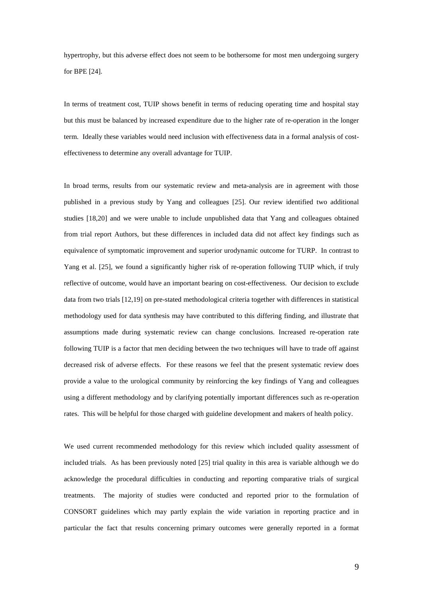hypertrophy, but this adverse effect does not seem to be bothersome for most men undergoing surgery for BPE [24].

In terms of treatment cost, TUIP shows benefit in terms of reducing operating time and hospital stay but this must be balanced by increased expenditure due to the higher rate of re-operation in the longer term. Ideally these variables would need inclusion with effectiveness data in a formal analysis of costeffectiveness to determine any overall advantage for TUIP.

In broad terms, results from our systematic review and meta-analysis are in agreement with those published in a previous study by Yang and colleagues [25]. Our review identified two additional studies [18,20] and we were unable to include unpublished data that Yang and colleagues obtained from trial report Authors, but these differences in included data did not affect key findings such as equivalence of symptomatic improvement and superior urodynamic outcome for TURP. In contrast to Yang et al. [25], we found a significantly higher risk of re-operation following TUIP which, if truly reflective of outcome, would have an important bearing on cost-effectiveness. Our decision to exclude data from two trials [12,19] on pre-stated methodological criteria together with differences in statistical methodology used for data synthesis may have contributed to this differing finding, and illustrate that assumptions made during systematic review can change conclusions. Increased re-operation rate following TUIP is a factor that men deciding between the two techniques will have to trade off against decreased risk of adverse effects. For these reasons we feel that the present systematic review does provide a value to the urological community by reinforcing the key findings of Yang and colleagues using a different methodology and by clarifying potentially important differences such as re-operation rates. This will be helpful for those charged with guideline development and makers of health policy.

We used current recommended methodology for this review which included quality assessment of included trials. As has been previously noted [25] trial quality in this area is variable although we do acknowledge the procedural difficulties in conducting and reporting comparative trials of surgical treatments. The majority of studies were conducted and reported prior to the formulation of CONSORT guidelines which may partly explain the wide variation in reporting practice and in particular the fact that results concerning primary outcomes were generally reported in a format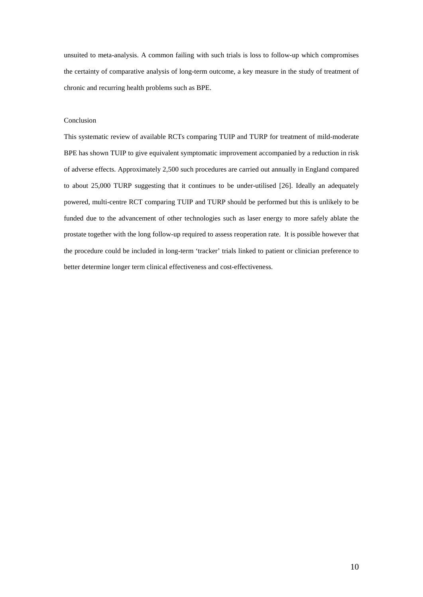unsuited to meta-analysis. A common failing with such trials is loss to follow-up which compromises the certainty of comparative analysis of long-term outcome, a key measure in the study of treatment of chronic and recurring health problems such as BPE.

# Conclusion

This systematic review of available RCTs comparing TUIP and TURP for treatment of mild-moderate BPE has shown TUIP to give equivalent symptomatic improvement accompanied by a reduction in risk of adverse effects. Approximately 2,500 such procedures are carried out annually in England compared to about 25,000 TURP suggesting that it continues to be under-utilised [26]. Ideally an adequately powered, multi-centre RCT comparing TUIP and TURP should be performed but this is unlikely to be funded due to the advancement of other technologies such as laser energy to more safely ablate the prostate together with the long follow-up required to assess reoperation rate. It is possible however that the procedure could be included in long-term 'tracker' trials linked to patient or clinician preference to better determine longer term clinical effectiveness and cost-effectiveness.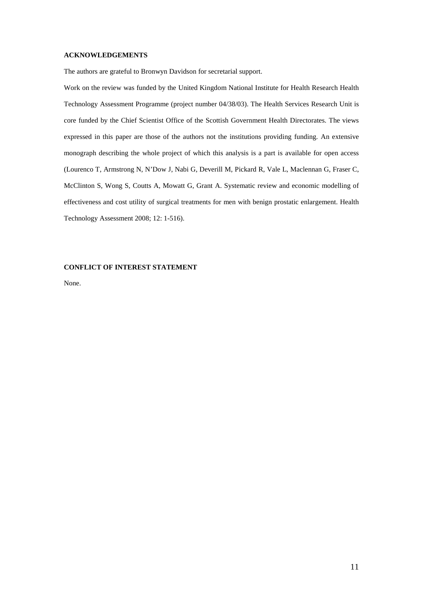## **ACKNOWLEDGEMENTS**

The authors are grateful to Bronwyn Davidson for secretarial support.

Work on the review was funded by the United Kingdom National Institute for Health Research Health Technology Assessment Programme (project number 04/38/03). The Health Services Research Unit is core funded by the Chief Scientist Office of the Scottish Government Health Directorates. The views expressed in this paper are those of the authors not the institutions providing funding. An extensive monograph describing the whole project of which this analysis is a part is available for open access (Lourenco T, Armstrong N, N'Dow J, Nabi G, Deverill M, Pickard R, Vale L, Maclennan G, Fraser C, McClinton S, Wong S, Coutts A, Mowatt G, Grant A. Systematic review and economic modelling of effectiveness and cost utility of surgical treatments for men with benign prostatic enlargement. Health Technology Assessment 2008; 12: 1-516).

# **CONFLICT OF INTEREST STATEMENT**

None.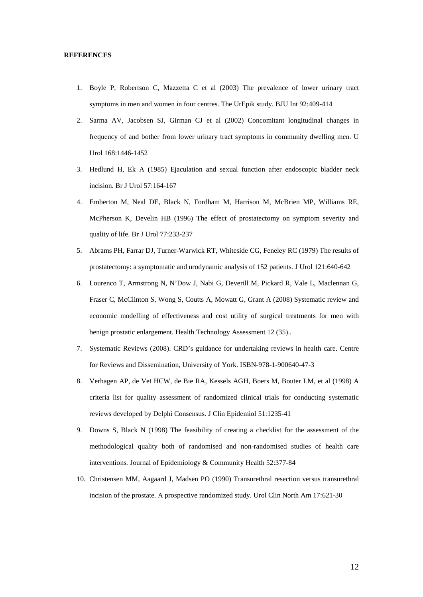### **REFERENCES**

- 1. Boyle P, Robertson C, Mazzetta C et al (2003) The prevalence of lower urinary tract symptoms in men and women in four centres. The UrEpik study. BJU Int 92:409-414
- 2. Sarma AV, Jacobsen SJ, Girman CJ et al (2002) Concomitant longitudinal changes in frequency of and bother from lower urinary tract symptoms in community dwelling men. U Urol 168:1446-1452
- 3. Hedlund H, Ek A (1985) Ejaculation and sexual function after endoscopic bladder neck incision. Br J Urol 57:164-167
- 4. Emberton M, Neal DE, Black N, Fordham M, Harrison M, McBrien MP, Williams RE, McPherson K, Develin HB (1996) The effect of prostatectomy on symptom severity and quality of life. Br J Urol 77:233-237
- 5. Abrams PH, Farrar DJ, Turner-Warwick RT, Whiteside CG, Feneley RC (1979) The results of prostatectomy: a symptomatic and urodynamic analysis of 152 patients. J Urol 121:640-642
- 6. Lourenco T, Armstrong N, N'Dow J, Nabi G, Deverill M, Pickard R, Vale L, Maclennan G, Fraser C, McClinton S, Wong S, Coutts A, Mowatt G, Grant A (2008) Systematic review and economic modelling of effectiveness and cost utility of surgical treatments for men with benign prostatic enlargement. Health Technology Assessment 12 (35)..
- 7. Systematic Reviews (2008). CRD's guidance for undertaking reviews in health care. Centre for Reviews and Dissemination, University of York. ISBN-978-1-900640-47-3
- 8. Verhagen AP, de Vet HCW, de Bie RA, Kessels AGH, Boers M, Bouter LM, et al (1998) A criteria list for quality assessment of randomized clinical trials for conducting systematic reviews developed by Delphi Consensus*.* J Clin Epidemiol 51:1235-41
- 9. Downs S, Black N (1998) The feasibility of creating a checklist for the assessment of the methodological quality both of randomised and non-randomised studies of health care interventions*.* Journal of Epidemiology & Community Health 52:377-84
- 10. Christensen MM, Aagaard J, Madsen PO (1990) Transurethral resection versus transurethral incision of the prostate. A prospective randomized study*.* Urol Clin North Am 17:621-30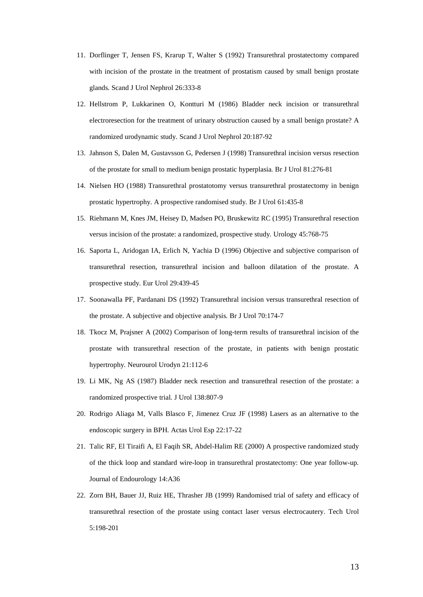- 11. Dorflinger T, Jensen FS, Krarup T, Walter S (1992) Transurethral prostatectomy compared with incision of the prostate in the treatment of prostatism caused by small benign prostate glands*.* Scand J Urol Nephrol 26:333-8
- 12. Hellstrom P, Lukkarinen O, Kontturi M (1986) Bladder neck incision or transurethral electroresection for the treatment of urinary obstruction caused by a small benign prostate? A randomized urodynamic study*.* Scand J Urol Nephrol 20:187-92
- 13. Jahnson S, Dalen M, Gustavsson G, Pedersen J (1998) Transurethral incision versus resection of the prostate for small to medium benign prostatic hyperplasia*.* Br J Urol 81:276-81
- 14. Nielsen HO (1988) Transurethral prostatotomy versus transurethral prostatectomy in benign prostatic hypertrophy. A prospective randomised study*.* Br J Urol 61:435-8
- 15. Riehmann M, Knes JM, Heisey D, Madsen PO, Bruskewitz RC (1995) Transurethral resection versus incision of the prostate: a randomized, prospective study*.* Urology 45:768-75
- 16. Saporta L, Aridogan IA, Erlich N, Yachia D (1996) Objective and subjective comparison of transurethral resection, transurethral incision and balloon dilatation of the prostate. A prospective study*.* Eur Urol 29:439-45
- 17. Soonawalla PF, Pardanani DS (1992) Transurethral incision versus transurethral resection of the prostate. A subjective and objective analysis*.* Br J Urol 70:174-7
- 18. Tkocz M, Prajsner A (2002) Comparison of long-term results of transurethral incision of the prostate with transurethral resection of the prostate, in patients with benign prostatic hypertrophy*.* Neurourol Urodyn 21:112-6
- 19. Li MK, Ng AS (1987) Bladder neck resection and transurethral resection of the prostate: a randomized prospective trial*.* J Urol 138:807-9
- 20. Rodrigo Aliaga M, Valls Blasco F, Jimenez Cruz JF (1998) Lasers as an alternative to the endoscopic surgery in BPH*.* Actas Urol Esp 22:17-22
- 21. Talic RF, El Tiraifi A, El Faqih SR, Abdel-Halim RE (2000) A prospective randomized study of the thick loop and standard wire-loop in transurethral prostatectomy: One year follow-up*.*  Journal of Endourology 14:A36
- 22. Zorn BH, Bauer JJ, Ruiz HE, Thrasher JB (1999) Randomised trial of safety and efficacy of transurethral resection of the prostate using contact laser versus electrocautery. Tech Urol 5:198-201